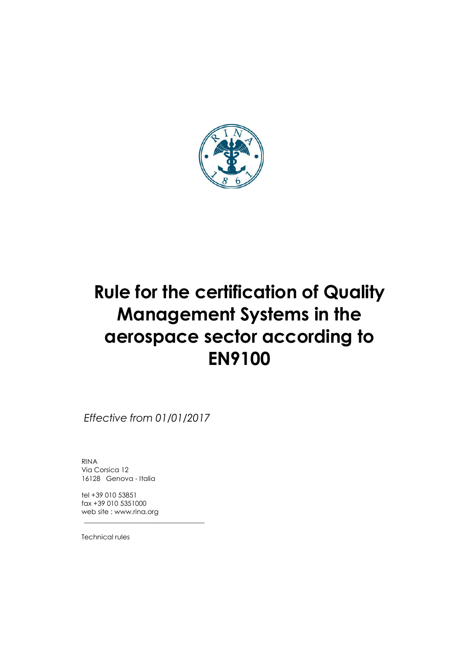

Effective from 01/01/2017

\_\_\_\_\_\_\_\_\_\_\_\_\_\_\_\_\_\_\_\_\_\_\_\_\_\_\_\_\_\_\_\_\_\_\_\_\_

RINA Via Corsica 12 16128 Genova - Italia

tel +39 010 53851 fax +39 010 5351000 web site : www.rina.org

Technical rules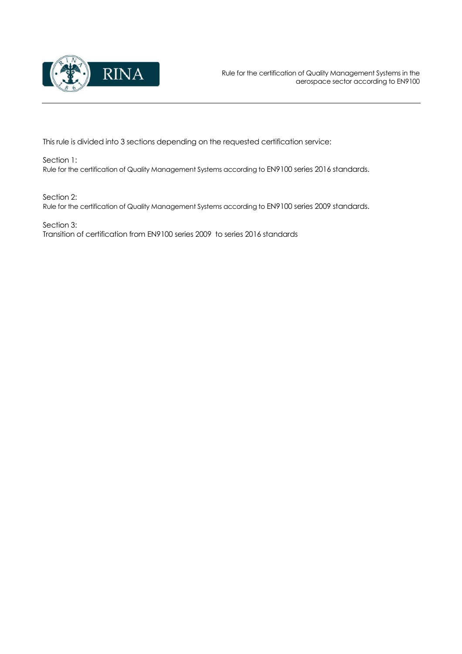

This rule is divided into 3 sections depending on the requested certification service:

Section 1: Rule for the certification of Quality Management Systems according to EN9100 series 2016 standards.

Section 2:

Rule for the certification of Quality Management Systems according to EN9100 series 2009 standards.

Section 3: Transition of certification from EN9100 series 2009 to series 2016 standards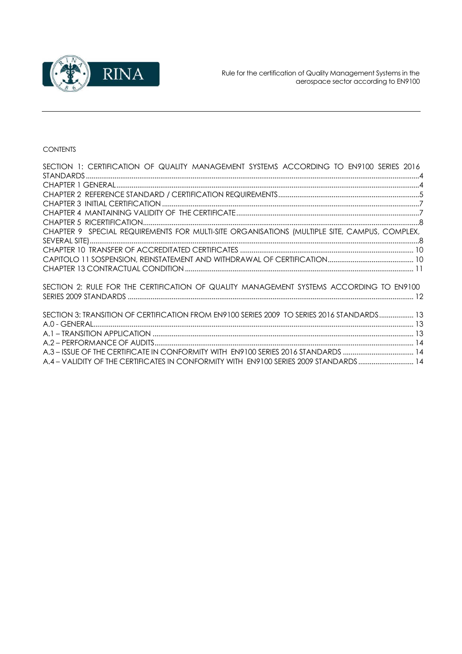

## CONTENTS

| SECTION 1: CERTIFICATION OF QUALITY MANAGEMENT SYSTEMS ACCORDING TO EN9100 SERIES 2016       |  |
|----------------------------------------------------------------------------------------------|--|
|                                                                                              |  |
|                                                                                              |  |
|                                                                                              |  |
|                                                                                              |  |
|                                                                                              |  |
|                                                                                              |  |
| CHAPTER 9 SPECIAL REQUIREMENTS FOR MULTI-SITE ORGANISATIONS (MULTIPLE SITE, CAMPUS, COMPLEX, |  |
|                                                                                              |  |
|                                                                                              |  |
|                                                                                              |  |
|                                                                                              |  |
| SECTION 2: RULE FOR THE CERTIFICATION OF QUALITY MANAGEMENT SYSTEMS ACCORDING TO EN9100      |  |
|                                                                                              |  |
| SECTION 3: TRANSITION OF CERTIFICATION FROM EN9100 SERIES 2009 TO SERIES 2016 STANDARDS  13  |  |
|                                                                                              |  |
|                                                                                              |  |
|                                                                                              |  |
| A.3 - ISSUE OF THE CERTIFICATE IN CONFORMITY WITH EN9100 SERIES 2016 STANDARDS  14           |  |
| A.4 - VALIDITY OF THE CERTIFICATES IN CONFORMITY WITH EN9100 SERIES 2009 STANDARDS14         |  |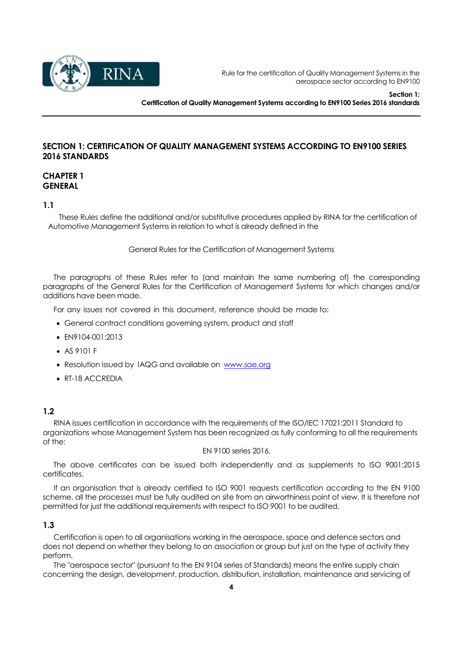

Section 1: Certification of Quality Management Systems according to EN9100 Series 2016 standards

## SECTION 1: CERTIFICATION OF QUALITY MANAGEMENT SYSTEMS ACCORDING TO EN9100 SERIES 2016 STANDARDS

## CHAPTER 1 **GENERAL**

#### 1.1

These Rules define the additional and/or substitutive procedures applied by RINA for the certification of Automotive Management Systems in relation to what is already defined in the

General Rules for the Certification of Management Systems

The paragraphs of these Rules refer to (and maintain the same numbering of) the corresponding paragraphs of the General Rules for the Certification of Management Systems for which changes and/or additions have been made.

For any issues not covered in this document, reference should be made to:

- General contract conditions governing system, product and staff
- EN9104-001:2013
- AS 9101 F
- Resolution issued by IAQG and available on www.sae.org
- RT-18 ACCREDIA

#### 1.2

RINA issues certification in accordance with the requirements of the ISO/IEC 17021:2011 Standard to organizations whose Management System has been recognized as fully conforming to all the requirements of the:

EN 9100 series 2016.

The above certificates can be issued both independently and as supplements to ISO 9001:2015 certificates.

If an organisation that is already certified to ISO 9001 requests certification according to the EN 9100 scheme, all the processes must be fully audited on site from an airworthiness point of view. It is therefore not permitted for just the additional requirements with respect to ISO 9001 to be audited.

#### 1.3

Certification is open to all organisations working in the aerospace, space and defence sectors and does not depend on whether they belong to an association or group but just on the type of activity they perform.

The "aerospace sector" (pursuant to the EN 9104 series of Standards) means the entire supply chain concerning the design, development, production, distribution, installation, maintenance and servicing of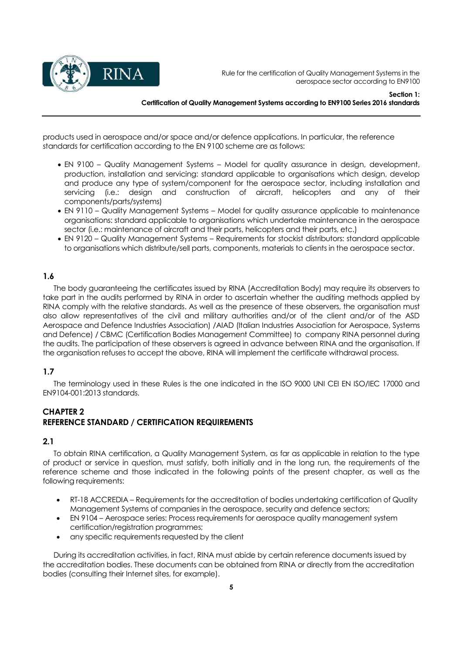

Section 1: Certification of Quality Management Systems according to EN9100 Series 2016 standards

products used in aerospace and/or space and/or defence applications. In particular, the reference standards for certification according to the EN 9100 scheme are as follows:

- EN 9100 Quality Management Systems Model for quality assurance in design, development, production, installation and servicing: standard applicable to organisations which design, develop and produce any type of system/component for the aerospace sector, including installation and servicing (i.e.: design and construction of aircraft, helicopters and any of their components/parts/systems)
- EN 9110 Quality Management Systems Model for quality assurance applicable to maintenance organisations: standard applicable to organisations which undertake maintenance in the aerospace sector (i.e.: maintenance of aircraft and their parts, helicopters and their parts, etc.)
- EN 9120 Quality Management Systems Requirements for stockist distributors: standard applicable to organisations which distribute/sell parts, components, materials to clients in the aerospace sector.

#### 1.6

The body guaranteeing the certificates issued by RINA (Accreditation Body) may require its observers to take part in the audits performed by RINA in order to ascertain whether the auditing methods applied by RINA comply with the relative standards. As well as the presence of these observers, the organisation must also allow representatives of the civil and military authorities and/or of the client and/or of the ASD Aerospace and Defence Industries Association) /AIAD (Italian Industries Association for Aerospace, Systems and Defence) / CBMC (Certification Bodies Management Committee) to company RINA personnel during the audits. The participation of these observers is agreed in advance between RINA and the organisation. If the organisation refuses to accept the above, RINA will implement the certificate withdrawal process.

#### 1.7

The terminology used in these Rules is the one indicated in the ISO 9000 UNI CEI EN ISO/IEC 17000 and EN9104-001:2013 standards.

## CHAPTER 2 REFERENCE STANDARD / CERTIFICATION REQUIREMENTS

## 2.1

To obtain RINA certification, a Quality Management System, as far as applicable in relation to the type of product or service in question, must satisfy, both initially and in the long run, the requirements of the reference scheme and those indicated in the following points of the present chapter, as well as the following requirements:

- RT-18 ACCREDIA Requirements for the accreditation of bodies undertaking certification of Quality Management Systems of companies in the aerospace, security and defence sectors;
- EN 9104 Aerospace series: Process requirements for aerospace quality management system certification/registration programmes;
- any specific requirements requested by the client

During its accreditation activities, in fact, RINA must abide by certain reference documents issued by the accreditation bodies. These documents can be obtained from RINA or directly from the accreditation bodies (consulting their Internet sites, for example).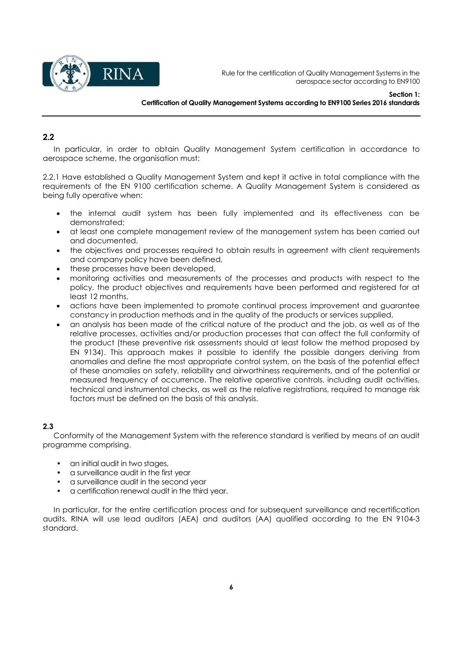

## 2.2

In particular, in order to obtain Quality Management System certification in accordance to aerospace scheme, the organisation must:

2.2.1 Have established a Quality Management System and kept it active in total compliance with the requirements of the EN 9100 certification scheme. A Quality Management System is considered as being fully operative when:

- the internal audit system has been fully implemented and its effectiveness can be demonstrated;
- at least one complete management review of the management system has been carried out and documented,
- the objectives and processes required to obtain results in agreement with client requirements and company policy have been defined,
- these processes have been developed,
- monitoring activities and measurements of the processes and products with respect to the policy, the product objectives and requirements have been performed and registered for at least 12 months,
- actions have been implemented to promote continual process improvement and guarantee constancy in production methods and in the quality of the products or services supplied,
- an analysis has been made of the critical nature of the product and the job, as well as of the relative processes, activities and/or production processes that can affect the full conformity of the product (these preventive risk assessments should at least follow the method proposed by EN 9134). This approach makes it possible to identify the possible dangers deriving from anomalies and define the most appropriate control system, on the basis of the potential effect of these anomalies on safety, reliability and airworthiness requirements, and of the potential or measured frequency of occurrence. The relative operative controls, including audit activities, technical and instrumental checks, as well as the relative registrations, required to manage risk factors must be defined on the basis of this analysis.

## 2.3

Conformity of the Management System with the reference standard is verified by means of an audit programme comprising.

- an initial audit in two stages,
- a surveillance audit in the first year
- a surveillance audit in the second year
- a certification renewal audit in the third year.

In particular, for the entire certification process and for subsequent surveillance and recertification audits, RINA will use lead auditors (AEA) and auditors (AA) qualified according to the EN 9104-3 standard.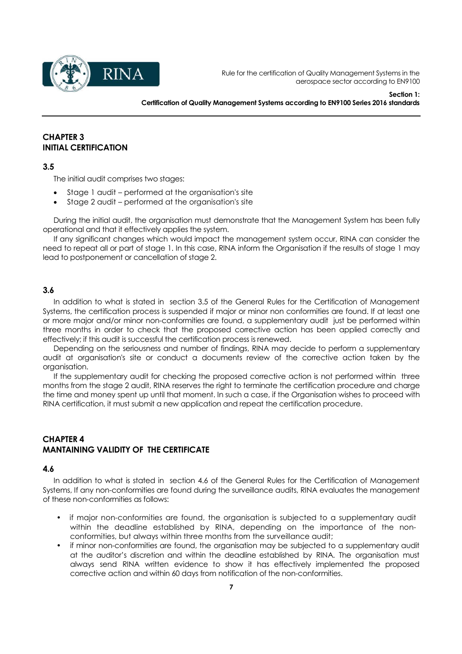

Section 1: Certification of Quality Management Systems according to EN9100 Series 2016 standards

#### CHAPTER 3 INITIAL CERTIFICATION

#### 3.5

The initial audit comprises two stages:

- Stage 1 audit performed at the organisation's site
- Stage 2 audit performed at the organisation's site

During the initial audit, the organisation must demonstrate that the Management System has been fully operational and that it effectively applies the system.

If any significant changes which would impact the management system occur, RINA can consider the need to repeat all or part of stage 1. In this case, RINA inform the Organisation if the results of stage 1 may lead to postponement or cancellation of stage 2.

#### 3.6

In addition to what is stated in section 3.5 of the General Rules for the Certification of Management Systems, the certification process is suspended if major or minor non conformities are found. If at least one or more major and/or minor non-conformities are found, a supplementary audit just be performed within three months in order to check that the proposed corrective action has been applied correctly and effectively; if this audit is successful the certification process is renewed.

Depending on the seriousness and number of findings, RINA may decide to perform a supplementary audit at organisation's site or conduct a documents review of the corrective action taken by the organisation.

If the supplementary audit for checking the proposed corrective action is not performed within three months from the stage 2 audit, RINA reserves the right to terminate the certification procedure and charge the time and money spent up until that moment. In such a case, if the Organisation wishes to proceed with RINA certification, it must submit a new application and repeat the certification procedure.

## CHAPTER 4 MANTAINING VALIDITY OF THE CERTIFICATE

#### 4.6

In addition to what is stated in section 4.6 of the General Rules for the Certification of Management Systems, If any non-conformities are found during the surveillance audits, RINA evaluates the management of these non-conformities as follows:

- if major non-conformities are found, the organisation is subjected to a supplementary audit within the deadline established by RINA, depending on the importance of the nonconformities, but always within three months from the surveillance audit;
- if minor non-conformities are found, the organisation may be subjected to a supplementary audit at the auditor's discretion and within the deadline established by RINA. The organisation must always send RINA written evidence to show it has effectively implemented the proposed corrective action and within 60 days from notification of the non-conformities.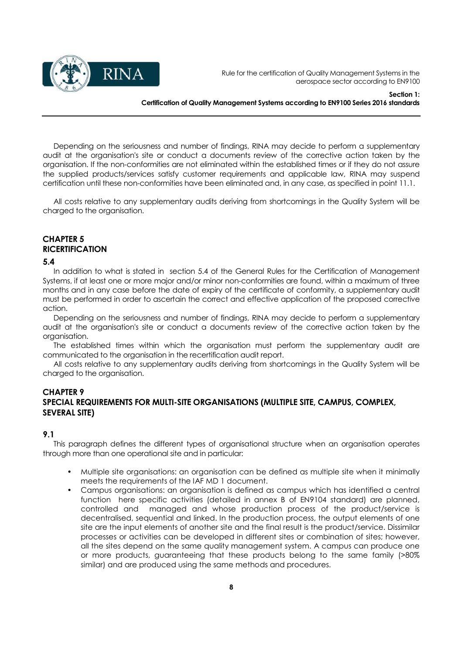

#### Section 1: Certification of Quality Management Systems according to EN9100 Series 2016 standards

Depending on the seriousness and number of findings, RINA may decide to perform a supplementary audit at the organisation's site or conduct a documents review of the corrective action taken by the organisation. If the non-conformities are not eliminated within the established times or if they do not assure the supplied products/services satisfy customer requirements and applicable law, RINA may suspend certification until these non-conformities have been eliminated and, in any case, as specified in point 11.1.

All costs relative to any supplementary audits deriving from shortcomings in the Quality System will be charged to the organisation.

## CHAPTER 5 **RICERTIFICATION**

#### 5.4

In addition to what is stated in section 5.4 of the General Rules for the Certification of Management Systems, if at least one or more major and/or minor non-conformities are found, within a maximum of three months and in any case before the date of expiry of the certificate of conformity, a supplementary audit must be performed in order to ascertain the correct and effective application of the proposed corrective action.

Depending on the seriousness and number of findings, RINA may decide to perform a supplementary audit at the organisation's site or conduct a documents review of the corrective action taken by the organisation.

The established times within which the organisation must perform the supplementary audit are communicated to the organisation in the recertification audit report.

All costs relative to any supplementary audits deriving from shortcomings in the Quality System will be charged to the organisation.

#### CHAPTER 9

## SPECIAL REQUIREMENTS FOR MULTI-SITE ORGANISATIONS (MULTIPLE SITE, CAMPUS, COMPLEX, SEVERAL SITE)

#### 9.1

This paragraph defines the different types of organisational structure when an organisation operates through more than one operational site and in particular:

- Multiple site organisations: an organisation can be defined as multiple site when it minimally meets the requirements of the IAF MD 1 document.
- Campus organisations: an organisation is defined as campus which has identified a central function here specific activities (detailed in annex B of EN9104 standard) are planned, controlled and managed and whose production process of the product/service is decentralised, sequential and linked. In the production process, the output elements of one site are the input elements of another site and the final result is the product/service. Dissimilar processes or activities can be developed in different sites or combination of sites; however, all the sites depend on the same quality management system. A campus can produce one or more products, guaranteeing that these products belong to the same family (>80% similar) and are produced using the same methods and procedures.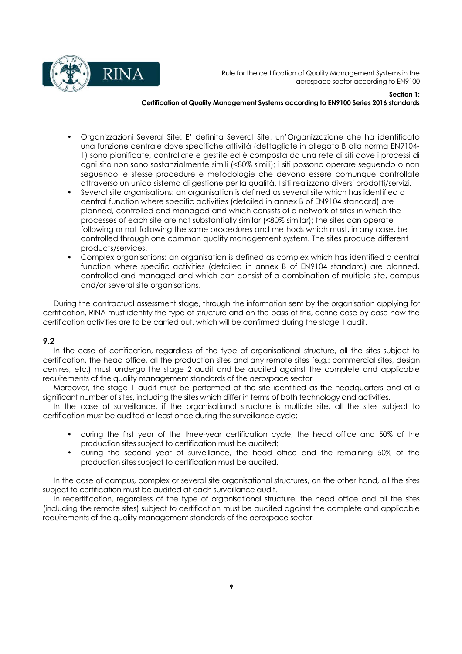

Section 1:

## Certification of Quality Management Systems according to EN9100 Series 2016 standards

- Organizzazioni Several Site: E' definita Several Site, un'Organizzazione che ha identificato una funzione centrale dove specifiche attività (dettagliate in allegato B alla norma EN9104- 1) sono pianificate, controllate e gestite ed è composta da una rete di siti dove i processi di ogni sito non sono sostanzialmente simili (<80% simili); i siti possono operare seguendo o non seguendo le stesse procedure e metodologie che devono essere comunque controllate attraverso un unico sistema di gestione per la qualità. I siti realizzano diversi prodotti/servizi.
- Several site organisations: an organisation is defined as several site which has identified a central function where specific activities (detailed in annex B of EN9104 standard) are planned, controlled and managed and which consists of a network of sites in which the processes of each site are not substantially similar (<80% similar); the sites can operate following or not following the same procedures and methods which must, in any case, be controlled through one common quality management system. The sites produce different products/services.
- Complex organisations: an organisation is defined as complex which has identified a central function where specific activities (detailed in annex B of EN9104 standard) are planned, controlled and managed and which can consist of a combination of multiple site, campus and/or several site organisations.

During the contractual assessment stage, through the information sent by the organisation applying for certification, RINA must identify the type of structure and on the basis of this, define case by case how the certification activities are to be carried out, which will be confirmed during the stage 1 audit.

## 9.2

In the case of certification, regardless of the type of organisational structure, all the sites subject to certification, the head office, all the production sites and any remote sites (e.g.: commercial sites, design centres, etc.) must undergo the stage 2 audit and be audited against the complete and applicable requirements of the quality management standards of the aerospace sector.

Moreover, the stage 1 audit must be performed at the site identified as the headquarters and at a significant number of sites, including the sites which differ in terms of both technology and activities.

In the case of surveillance, if the organisational structure is multiple site, all the sites subject to certification must be audited at least once during the surveillance cycle:

- during the first year of the three-year certification cycle, the head office and 50% of the production sites subject to certification must be audited;
- during the second year of surveillance, the head office and the remaining 50% of the production sites subject to certification must be audited.

In the case of campus, complex or several site organisational structures, on the other hand, all the sites subject to certification must be audited at each surveillance audit.

In recertification, regardless of the type of organisational structure, the head office and all the sites (including the remote sites) subject to certification must be audited against the complete and applicable requirements of the quality management standards of the aerospace sector.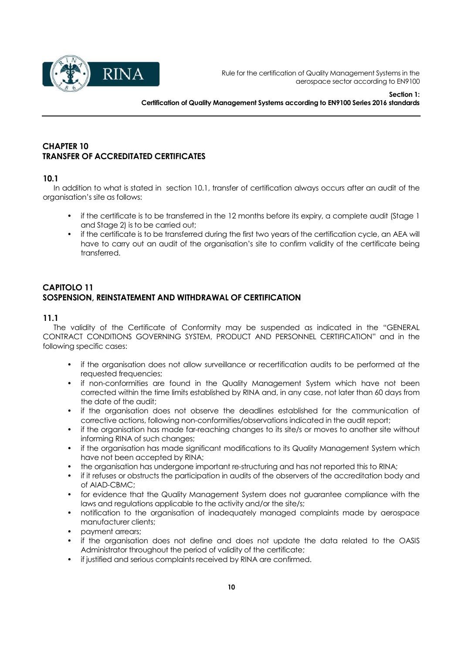

## CHAPTER 10 TRANSFER OF ACCREDITATED CERTIFICATES

## 10.1

In addition to what is stated in section 10.1, transfer of certification always occurs after an audit of the organisation's site as follows:

- if the certificate is to be transferred in the 12 months before its expiry, a complete audit (Stage 1 and Stage 2) is to be carried out;
- if the certificate is to be transferred during the first two years of the certification cycle, an AEA will have to carry out an audit of the organisation's site to confirm validity of the certificate being transferred.

## CAPITOLO 11 SOSPENSION, REINSTATEMENT AND WITHDRAWAL OF CERTIFICATION

## 11.1

The validity of the Certificate of Conformity may be suspended as indicated in the "GENERAL CONTRACT CONDITIONS GOVERNING SYSTEM, PRODUCT AND PERSONNEL CERTIFICATION" and in the following specific cases:

- if the organisation does not allow surveillance or recertification audits to be performed at the requested frequencies;
- if non-conformities are found in the Quality Management System which have not been corrected within the time limits established by RINA and, in any case, not later than 60 days from the date of the audit;
- if the organisation does not observe the deadlines established for the communication of corrective actions, following non-conformities/observations indicated in the audit report;
- if the organisation has made far-reaching changes to its site/s or moves to another site without informing RINA of such changes;
- if the organisation has made significant modifications to its Quality Management System which have not been accepted by RINA;
- the organisation has undergone important re-structuring and has not reported this to RINA;
- if it refuses or obstructs the participation in audits of the observers of the accreditation body and of AIAD-CBMC;
- for evidence that the Quality Management System does not guarantee compliance with the laws and regulations applicable to the activity and/or the site/s;
- notification to the organisation of inadequately managed complaints made by aerospace manufacturer clients;
- payment arrears;
- if the organisation does not define and does not update the data related to the OASIS Administrator throughout the period of validity of the certificate;
- if justified and serious complaints received by RINA are confirmed.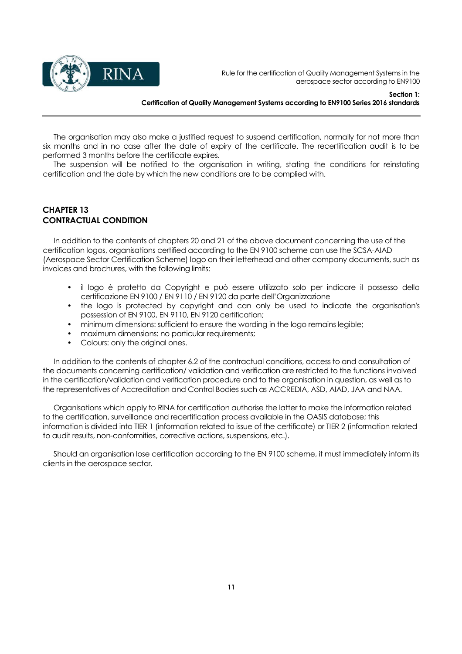

Section 1: Certification of Quality Management Systems according to EN9100 Series 2016 standards

The organisation may also make a justified request to suspend certification, normally for not more than six months and in no case after the date of expiry of the certificate. The recertification audit is to be performed 3 months before the certificate expires.

The suspension will be notified to the organisation in writing, stating the conditions for reinstating certification and the date by which the new conditions are to be complied with.

## CHAPTER 13 CONTRACTUAL CONDITION

In addition to the contents of chapters 20 and 21 of the above document concerning the use of the certification logos, organisations certified according to the EN 9100 scheme can use the SCSA-AIAD (Aerospace Sector Certification Scheme) logo on their letterhead and other company documents, such as invoices and brochures, with the following limits:

- il logo è protetto da Copyright e può essere utilizzato solo per indicare il possesso della certificazione EN 9100 / EN 9110 / EN 9120 da parte dell'Organizzazione
- the logo is protected by copyright and can only be used to indicate the organisation's possession of EN 9100, EN 9110, EN 9120 certification;
- minimum dimensions: sufficient to ensure the wording in the logo remains legible;
- maximum dimensions: no particular requirements;
- Colours: only the original ones.

In addition to the contents of chapter 6.2 of the contractual conditions, access to and consultation of the documents concerning certification/ validation and verification are restricted to the functions involved in the certification/validation and verification procedure and to the organisation in question, as well as to the representatives of Accreditation and Control Bodies such as ACCREDIA, ASD, AIAD, JAA and NAA.

Organisations which apply to RINA for certification authorise the latter to make the information related to the certification, surveillance and recertification process available in the OASIS database; this information is divided into TIER 1 (information related to issue of the certificate) or TIER 2 (information related to audit results, non-conformities, corrective actions, suspensions, etc.).

Should an organisation lose certification according to the EN 9100 scheme, it must immediately inform its clients in the aerospace sector.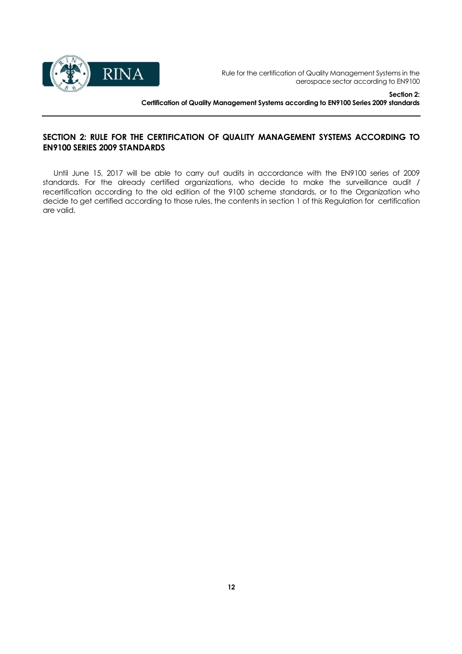

Section 2: Certification of Quality Management Systems according to EN9100 Series 2009 standards

## SECTION 2: RULE FOR THE CERTIFICATION OF QUALITY MANAGEMENT SYSTEMS ACCORDING TO EN9100 SERIES 2009 STANDARDS

Until June 15, 2017 will be able to carry out audits in accordance with the EN9100 series of 2009 standards. For the already certified organizations, who decide to make the surveillance audit / recertification according to the old edition of the 9100 scheme standards, or to the Organization who decide to get certified according to those rules, the contents in section 1 of this Regulation for certification are valid.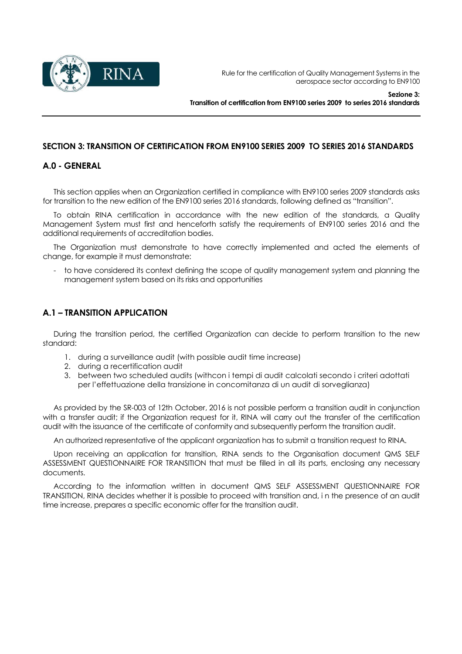

## SECTION 3: TRANSITION OF CERTIFICATION FROM EN9100 SERIES 2009 TO SERIES 2016 STANDARDS

## A.0 - GENERAL

This section applies when an Organization certified in compliance with EN9100 series 2009 standards asks for transition to the new edition of the EN9100 series 2016 standards, following defined as "transition".

To obtain RINA certification in accordance with the new edition of the standards, a Quality Management System must first and henceforth satisfy the requirements of EN9100 series 2016 and the additional requirements of accreditation bodies.

The Organization must demonstrate to have correctly implemented and acted the elements of change, for example it must demonstrate:

- to have considered its context defining the scope of quality management system and planning the management system based on its risks and opportunities

## A.1 – TRANSITION APPLICATION

During the transition period, the certified Organization can decide to perform transition to the new standard:

- 1. during a surveillance audit (with possible audit time increase)
- 2. during a recertification audit
- 3. between two scheduled audits (withcon i tempi di audit calcolati secondo i criteri adottati per l'effettuazione della transizione in concomitanza di un audit di sorveglianza)

As provided by the SR-003 of 12th October, 2016 is not possible perform a transition audit in conjunction with a transfer audit; if the Organization request for it, RINA will carry out the transfer of the certification audit with the issuance of the certificate of conformity and subsequently perform the transition audit.

An authorized representative of the applicant organization has to submit a transition request to RINA.

Upon receiving an application for transition, RINA sends to the Organisation document QMS SELF ASSESSMENT QUESTIONNAIRE FOR TRANSITION that must be filled in all its parts, enclosing any necessary documents.

According to the information written in document QMS SELF ASSESSMENT QUESTIONNAIRE FOR TRANSITION, RINA decides whether it is possible to proceed with transition and, i n the presence of an audit time increase, prepares a specific economic offer for the transition audit.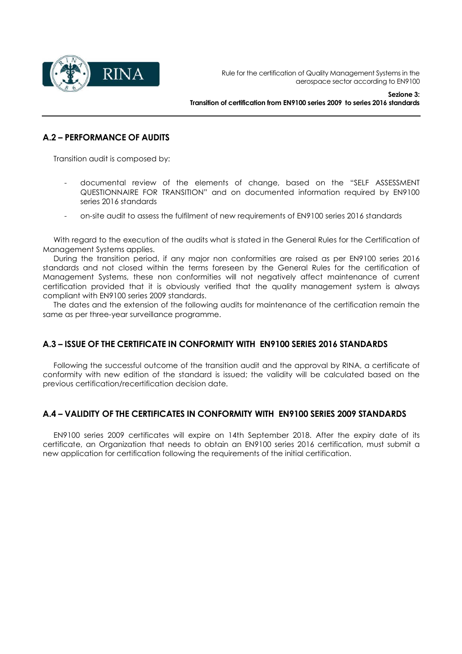

## A.2 – PERFORMANCE OF AUDITS

Transition audit is composed by:

- documental review of the elements of change, based on the "SELF ASSESSMENT QUESTIONNAIRE FOR TRANSITION" and on documented information required by EN9100 series 2016 standards
- on-site audit to assess the fulfilment of new requirements of EN9100 series 2016 standards

With regard to the execution of the audits what is stated in the General Rules for the Certification of Management Systems applies.

During the transition period, if any major non conformities are raised as per EN9100 series 2016 standards and not closed within the terms foreseen by the General Rules for the certification of Management Systems, these non conformities will not negatively affect maintenance of current certification provided that it is obviously verified that the quality management system is always compliant with EN9100 series 2009 standards.

The dates and the extension of the following audits for maintenance of the certification remain the same as per three-year surveillance programme.

## A.3 – ISSUE OF THE CERTIFICATE IN CONFORMITY WITH EN9100 SERIES 2016 STANDARDS

Following the successful outcome of the transition audit and the approval by RINA, a certificate of conformity with new edition of the standard is issued; the validity will be calculated based on the previous certification/recertification decision date.

## A.4 – VALIDITY OF THE CERTIFICATES IN CONFORMITY WITH EN9100 SERIES 2009 STANDARDS

EN9100 series 2009 certificates will expire on 14th September 2018. After the expiry date of its certificate, an Organization that needs to obtain an EN9100 series 2016 certification, must submit a new application for certification following the requirements of the initial certification.